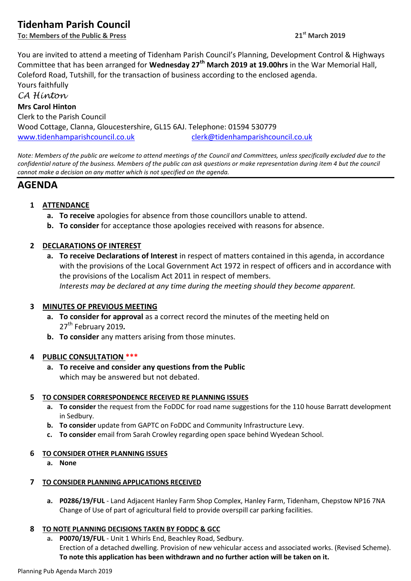# **Tidenham Parish Council**

**To: Members of the Public & Press 21st March 2019**

You are invited to attend a meeting of Tidenham Parish Council's Planning, Development Control & Highways Committee that has been arranged for **Wednesday 27th March 2019 at 19.00hrs** in the War Memorial Hall, Coleford Road, Tutshill, for the transaction of business according to the enclosed agenda. Yours faithfully *CA Hinton* **Mrs Carol Hinton**

Clerk to the Parish Council Wood Cottage, Clanna, Gloucestershire, GL15 6AJ. Telephone: 01594 530779 [www.tidenhamparishcouncil.co.uk](http://www.tidenhamparishcouncil.co.uk/) [clerk@tidenhamparishcouncil.co.uk](mailto:clerk@tidenhamparishcouncil.co.uk)

*Note: Members of the public are welcome to attend meetings of the Council and Committees, unless specifically excluded due to the confidential nature of the business. Members of the public can ask questions or make representation during item 4 but the council cannot make a decision on any matter which is not specified on the agenda.*

# **AGENDA**

# **1 ATTENDANCE**

- **a. To receive** apologies for absence from those councillors unable to attend.
- **b. To consider** for acceptance those apologies received with reasons for absence.

# **2 DECLARATIONS OF INTEREST**

**a. To receive Declarations of Interest** in respect of matters contained in this agenda, in accordance with the provisions of the Local Government Act 1972 in respect of officers and in accordance with the provisions of the Localism Act 2011 in respect of members. *Interests may be declared at any time during the meeting should they become apparent.*

# **3 MINUTES OF PREVIOUS MEETING**

- **a. To consider for approval** as a correct record the minutes of the meeting held on 27th February 2019*.*
- **b. To consider** any matters arising from those minutes.

# **4 PUBLIC CONSULTATION \*\*\***

**a. To receive and consider any questions from the Public** which may be answered but not debated.

# **5 TO CONSIDER CORRESPONDENCE RECEIVED RE PLANNING ISSUES**

- **a. To consider** the request from the FoDDC for road name suggestions for the 110 house Barratt development in Sedbury.
- **b. To consider** update from GAPTC on FoDDC and Community Infrastructure Levy.
- **c. To consider** email from Sarah Crowley regarding open space behind Wyedean School.

### **6 TO CONSIDER OTHER PLANNING ISSUES**

**a. None**

# **7 TO CONSIDER PLANNING APPLICATIONS RECEIVED**

**a. P0286/19/FUL** - Land Adjacent Hanley Farm Shop Complex, Hanley Farm, Tidenham, Chepstow NP16 7NA Change of Use of part of agricultural field to provide overspill car parking facilities.

# **8 TO NOTE PLANNING DECISIONS TAKEN BY FODDC & GCC**

**a. P0070/19/FUL** - Unit 1 Whirls End, Beachley Road, Sedbury. [Erection of a detached dwelling. Provision of new vehicular access and associated works. \(Revised Scheme\).](https://publicaccess.fdean.gov.uk/online-applications/applicationDetails.do?keyVal=PLFMIEHIMXX00&activeTab=summary) **[To note this application has been withdrawn and no further action will be taken on it.](https://publicaccess.fdean.gov.uk/online-applications/applicationDetails.do?keyVal=PLFMIEHIMXX00&activeTab=summary)**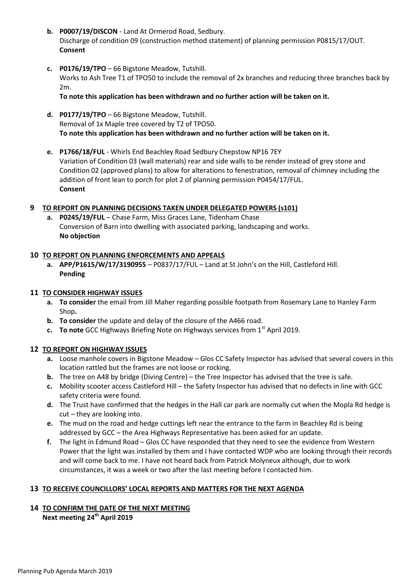- **b. P0007/19/DISCON** Land At Ormerod Road, Sedbury. Discharge of condition 09 (construction method statement) of planning permission P0815/17/OUT. **Consent**
- **c. P0176/19/TPO** 66 Bigstone Meadow, Tutshill. Works to Ash Tree T1 of TPO50 to include the removal of 2x branches and reducing three branches back by 2m.

**To note this application has been withdrawn and no further action will be taken on it.**

- **d. P0177/19/TPO** 66 Bigstone Meadow, Tutshill. Removal of 1x Maple tree covered by T2 of TPO50. **To note this application has been withdrawn and no further action will be taken on it.**
- **e. P1766/18/FUL** Whirls End Beachley Road Sedbury Chepstow NP16 7EY Variation of Condition 03 (wall materials) rear and side walls to be render instead of grey stone and Condition 02 (approved plans) to allow for alterations to fenestration, removal of chimney including the addition of front lean to porch for plot 2 of planning permission P0454/17/FUL. **Consent**

### **9 TO REPORT ON PLANNING DECISIONS TAKEN UNDER DELEGATED POWERS (s101)**

**a. P0245/19/FUL** – Chase Farm, Miss Graces Lane, Tidenham Chase Conversion of Barn into dwelling with associated parking, landscaping and works. **No objection**

### **10 TO REPORT ON PLANNING ENFORCEMENTS AND APPEALS**

**a. APP/P1615/W/17/3190955** – P0837/17/FUL – Land at St John's on the Hill, Castleford Hill. **Pending**

### **11 TO CONSIDER HIGHWAY ISSUES**

- **a. To consider** the email from Jill Maher regarding possible footpath from Rosemary Lane to Hanley Farm Shop**.**
- **b. To consider** the update and delay of the closure of the A466 road.
- **c. To note** GCC Highways Briefing Note on Highways services from 1<sup>st</sup> April 2019.

### **12 TO REPORT ON HIGHWAY ISSUES**

- **a.** Loose manhole covers in Bigstone Meadow Glos CC Safety Inspector has advised that several covers in this location rattled but the frames are not loose or rocking.
- **b.** The tree on A48 by bridge (Diving Centre) the Tree Inspector has advised that the tree is safe.
- **c.** Mobility scooter access Castleford Hill the Safety Inspector has advised that no defects in line with GCC safety criteria were found.
- **d.** The Trust have confirmed that the hedges in the Hall car park are normally cut when the Mopla Rd hedge is cut – they are looking into.
- **e.** The mud on the road and hedge cuttings left near the entrance to the farm in Beachley Rd is being addressed by GCC – the Area Highways Representative has been asked for an update.
- **f.** The light in Edmund Road Glos CC have responded that they need to see the evidence from Western Power that the light was installed by them and I have contacted WDP who are looking through their records and will come back to me. I have not heard back from Patrick Molyneux although, due to work circumstances, it was a week or two after the last meeting before I contacted him.

# **13 TO RECEIVE COUNCILLORS' LOCAL REPORTS AND MATTERS FOR THE NEXT AGENDA**

#### **14 TO CONFIRM THE DATE OF THE NEXT MEETING Next meeting 24th April 2019**